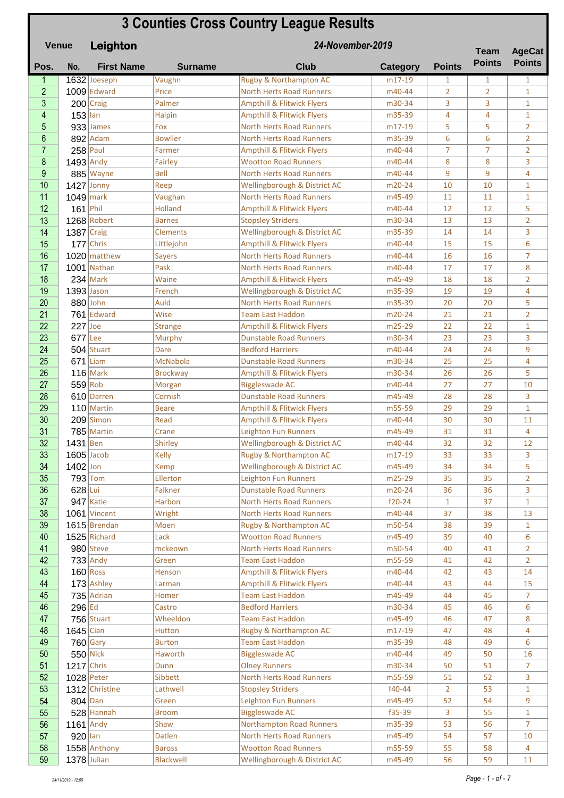## **Pos. No. First Name Surname Club Category Points** 1 1632 Joeseph Vaughn Rugby & Northampton AC m17-19 1 1 1 1 2 1009 Edward Price North Herts Road Runners 1 m40-44 2 2 1 3 200 Craig Palmer Ampthill & Flitwick Flyers m30-34 3 3 1 4 153 Ian Malpin Ampthill & Flitwick Flyers 1 m35-39 4 4 4 1 5 933 James Fox North Herts Road Runners – m17-19 5 5 2 6 892 Adam Bowller North Herts Road Runners 1 m35-39 6 6 2 7 258 Paul Farmer Ampthill & Flitwick Flyers m40-44 7 7 2 8 1493 Andy Fairley Wootton Road Runners 1984 8 8 3 **9 885** Wayne Bell North Herts Road Runners m40-44 9 9 9 4 10 1427 Jonny Reep Nellingborough & District AC m20-24 10 10 10 1 11 1049 mark Vaughan North Herts Road Runners m45-49 11 11 11 12 161 Phil Holland Ampthill & Flitwick Flyers 1940-44 12 12 5 13 1268 Robert Barnes Stopsley Striders m30-34 13 13 2 14 1387 Craig Clements Wellingborough & District AC m35-39 14 14 3 15 177 Chris Littlejohn Ampthill & Flitwick Flyers m40-44 15 15 6 16 1020 matthew Savers North Herts Road Runners m40-44 16 16 7 17 | 1001 | Nathan | Pask | North Herts Road Runners | m40-44 | 17 | 17 | 8 18 234 Mark Waine Ampthill & Flitwick Flyers 18 m45-49 18 18 2 19 1393 Jason French Wellingborough & District AC m35-39 19 19 19 4 20 880 John Auld North Herts Road Runners 1 m35-39 20 20 5 21 761 Edward Wise Team East Haddon 100-24 21 21 21 22 227 Joe Strange Ampthill & Flitwick Flyers m25-29 22 22 1 23 677 Lee Murphy Dunstable Road Runners – m30-34 23 23 3  $24$  504 Stuart Dare Bedford Harriers 1980 - 140-44 24 24 9 25 671 Liam McNabola Dunstable Road Runners 1 m30-34 25 25 4 26 116 Mark Brockway Ampthill & Flitwick Flyers 1 m30-34 26 26 5 27 559 Rob Morgan Biggleswade AC m40-44 27 27 10 28 610 Darren Cornish Dunstable Road Runners – m45-49 28 28 3 29 110 Martin Beare Ampthill & Flitwick Flyers 1 m55-59 29 29 1 30 209 Simon Read Ampthill & Flitwick Flyers m40-44 30 30 11 31 785 Martin Crane Leighton Fun Runners m45-49 31 31 4 32 1431 Ben Shirley Wellingborough & District AC m40-44 32 32 12  $\frac{33}{1605}$  | Jacob | Kelly | Rugby & Northampton AC | m17-19 | 33 | 33 | 3  $\begin{array}{|c|c|c|c|c|c|}\n \hline\n 34 & 1402 &\text{Jon} & \text{Kemp} & \text{Wellingborough & \text{B} \text{ District AC} & \text{m45-49} & 34 & 34 & 5\n \end{array}$ 35 793 Tom Ellerton Leighton Fun Runners 1993 793 Tom 35 2 36 628 Lui Falkner Dunstable Road Runners – m20-24 36 36 36 3 37 947 Katie Harbon North Herts Road Runners | f20-24 | 1 | 37 | 1 38 1061 Vincent Wright North Herts Road Runners m40-44 37 38 13 **39 1615** Brendan Moen Rugby & Northampton AC m50-54 38 39 1 40 1525 Richard Lack Nootton Road Runners 1 m45-49 39 40 6 41 980 Steve mckeown North Herts Road Runners 1 m50-54 40 41 2 42 733 Andy Green Team East Haddon 1955-59 41 42 2 43 160 Ross Henson Ampthill & Flitwick Flyers 1980-44 42 43 14 44 173 Ashley Larman Ampthill & Flitwick Flyers m40-44 43 44 15 45 735 Adrian Homer Team East Haddon 1945 44 45 7 46 296 Ed Castro Bedford Harriers m30-34 45 46 6 47 756 Stuart Wheeldon Team East Haddon 1 m45-49 46 47 8 **48 1645** Cian Hutton Rugby & Northampton AC m17-19 47 48 4 **49 760** Gary Burton Team East Haddon 1935-39 48 49 6 50 550 Nick Haworth Biggleswade AC 16 m40-44 49 50 16 **51 1217** Chris Dunn Dunn Diney Runners 1 m30-34 50 51 7 52 1028 Peter Sibbett North Herts Road Runners m55-59 51 52 3 **53** 1312 Christine Lathwell Stopsley Striders **f40-44** 2 53 1 54 804 Dan Green Leighton Fun Runners m45-49 52 54 9 55 528 Hannah Broom Biggleswade AC 1535-39 3 55 1 56 1161 Andy Shaw Northampton Road Runners m35-39 53 56 7 57 920 Ian 10 Datlen North Herts Road Runners 1 m45-49 54 57 10 58 1558 Anthony Baross Wootton Road Runners 1 m55-59 55 58 4 59 1378 Julian | Blackwell | Wellingborough & District AC | m45-49 | 56 | 59 | 11 **Leighton 3 Counties Cross Country League Results Venue Team Points 24-November-2019 AgeCat Team AgeCat Points**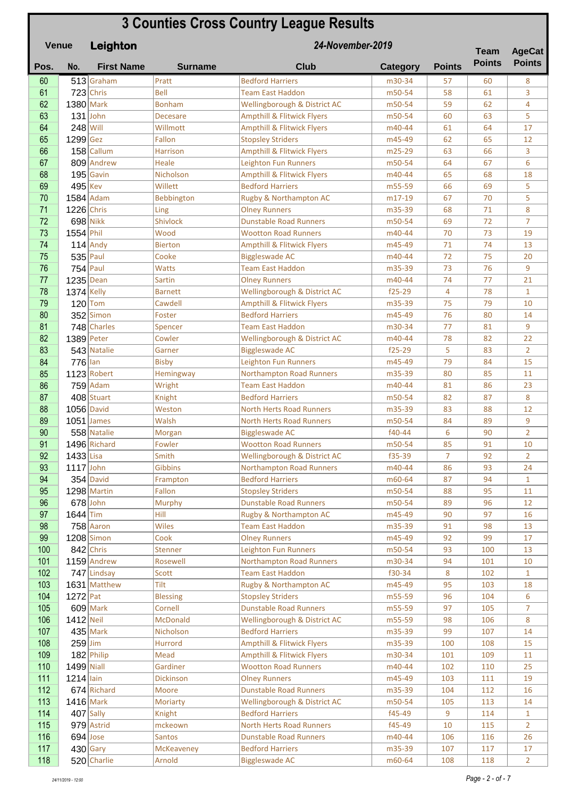## **Pos. No. First Name Surname Club Category Points Leighton 3 Counties Cross Country League Results Venue Team Points 24-November-2019 Team AgeCat Points 60** 513 Graham Pratt Bedford Harriers 1880-34 57 60 8 61 723 Chris Bell Team East Haddon 1 m50-54 58 61 3 62 1380 Mark Bonham Wellingborough & District AC m50-54 59 62 4 63 131 John Decesare Ampthill & Flitwick Flyers 1950-54 60 63 5 64 248 Will Willmott Ampthill & Flitwick Flyers 1940-44 61 64 17 65 1299 Gez Fallon Stopsley Striders m45-49 62 65 12 66 158 Callum Harrison Ampthill & Flitwick Flyers 1985-29 63 66 3 67 809 Andrew Heale Leighton Fun Runners 1950-54 64 67 6 68 195 Gavin Nicholson Ampthill & Flitwick Flyers 1940-44 65 68 18  $\begin{array}{|l|c|c|c|c|c|c|c|c|}\hline \textbf{69} & \textbf{495}\lline\end{array}$ Kev | Willett | Bedford Harriers | m55-59 | 66 | 69 | 5 70 1584 Adam Bebbington Rugby & Northampton AC m17-19 67 70 5 **71** 1226 Chris Ling Chris Ling Chey Runners 1 m35-39 68 71 8 72 698 Nikk Shivlock Dunstable Road Runners 1 m50-54 69 72 7 73 1554 Phil Wood Wootton Road Runners 1988 m40-44 70 73 19 74 114 Andy Bierton Ampthill & Flitwick Flyers m45-49 71 74 13 75 535 Paul Cooke Biggleswade AC m40-44 72 75 20 **76 754** Paul Watts Team East Haddon 1953-39 73 76 9 **77 1235** Dean Sartin **Colley Runners 1998 Colley Runners** 1998 M40-44 74 77 21 **78 1374** Kelly **Barnett** Wellingborough & District AC f25-29 4 78 1 79 120 Tom Cawdell Ampthill & Flitwick Flyers m35-39 75 79 10  $80$  352 Simon Foster Bedford Harriers 1996 80 14 81 748 Charles Spencer Team East Haddon m30-34 77 81 9 82 1389 Peter Cowler Wellingborough & District AC m40-44 78 82 22 83 543 Natalie Garner Biggleswade AC 15-29 5 83 2 84 776 Ian Bisby Leighton Fun Runners 1985-49 79 84 15 85 1123 Robert Hemingway Northampton Road Runners 185 - 180 85 11 86 759 Adam Wright Team East Haddon 1990 m40-44 81 86 23  $\frac{87}{1000}$  408 Stuart Knight Bedford Harriers 1850-54 82 87 8 88 1056 David Weston North Herts Road Runners 1 m35-39 83 88 12 89 1051 James Walsh North Herts Road Runners – m50-54 84 89 9 90 558 Natalie Morgan Biggleswade AC 140-44 6 90 2 91 1496 Richard Fowler Wootton Road Runners 1950-54 85 91 10 92 1433 Lisa Smith Wellingborough & District AC f35-39 7 92 2 **93 1117** John Gibbins Northampton Road Runners m40-44 86 93 24 **94** 354 David Frampton Bedford Harriers 1860-64 87 94 1 95 1298 Martin Fallon Stopsley Striders m50-54 88 95 11 96 678 John Murphy Dunstable Road Runners – m50-54 89 96 12 97 1644 Tim Hill Rugby & Northampton AC m45-49 90 97 16 **98 758 Aaron Wiles Team East Haddon 198 13 April 13** 99 1208 Simon Cook Olney Runners m45-49 92 99 17 100 842 Chris Stenner Leighton Fun Runners 1950-54 93 100 13 101 1159 Andrew Rosewell Morthampton Road Runners 1 m30-34 94 101 10 102 747 Lindsay Scott Team East Haddon 130-34 8 102 1 103 1631 Matthew Tilt Rugby & Northampton AC m45-49 95 103 18 104 1272 Pat Blessing Stopsley Striders m55-59 96 104 6 105 609 Mark Cornell Dunstable Road Runners 1 m55-59 97 105 7 106 1412 Neil McDonald Wellingborough & District AC m55-59 98 106 8 107 435 Mark Nicholson Bedford Harriers 1988 m35-39 99 107 14 108 259 Jim Hurrord Ampthill & Flitwick Flyers m35-39 100 108 15

109 182 Philip Mead Ampthill & Flitwick Flyers m30-34 101 109 11 110 1499 Niall **Gardiner** Wootton Road Runners **m40-44** 102 110 25 111 1214 Iain **Dickinson** Die Dickinson Die Bunners Material Metal 103 111 19 112 674 Richard Moore Dunstable Road Runners – m35-39 104 112 16 113 1416 Mark Moriarty Wellingborough & District AC m50-54 105 113 14 **114 407** Sally  $\begin{array}{|c|c|c|c|c|c|}\n\hline\n114 & 407 & \text{Sally} & \text{Rright} & \text{Bedford Harrisers} & \text{RHS} & \text{RHS} & \text{RHS} & \text{RHS} & \text{RHS} & \text{RHS} & \text{RHS} & \text{RHS} & \text{RHS} & \text{RHS} & \text{RHS} & \text{RHS} & \text{RHS} & \text{RHS} & \text{RHS} & \text{RHS} & \text{RHS} & \text{RHS} & \text{RHS} & \text{RHS} & \text{RHS} &$ 115 979 Astrid Mckeown North Herts Road Runners 145-49 10 115 2 116 694 Jose Santos Dunstable Road Runners 1984 m40-44 106 116 26 117 430 Gary McKeaveney Bedford Harriers 1988 m35-39 107 117 17 118 520 Charlie Arnold Biggleswade AC 1060-64 108 118 2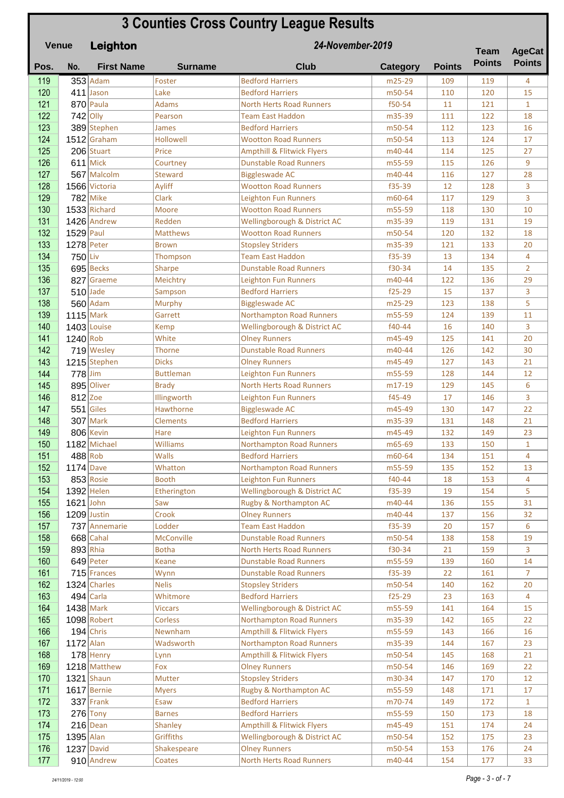| <b>3 Counties Cross Country League Results</b><br>24-November-2019<br><b>Venue</b><br>Leighton |             |                              |                      |                                                       |                  |               | <b>Team</b>   | <b>AgeCat</b>      |
|------------------------------------------------------------------------------------------------|-------------|------------------------------|----------------------|-------------------------------------------------------|------------------|---------------|---------------|--------------------|
| Pos.                                                                                           | No.         | <b>First Name</b>            | <b>Surname</b>       | <b>Club</b>                                           | <b>Category</b>  | <b>Points</b> | <b>Points</b> | <b>Points</b>      |
| 119                                                                                            |             | $353$ Adam                   | Foster               | <b>Bedford Harriers</b>                               | m25-29           | 109           | 119           | 4                  |
| 120                                                                                            |             | $411$ Jason                  | Lake                 | <b>Bedford Harriers</b>                               | m50-54           | 110           | 120           | 15                 |
| 121                                                                                            |             | $870$ Paula                  | <b>Adams</b>         | <b>North Herts Road Runners</b>                       | f50-54           | 11            | 121           | $\mathbf{1}$       |
| 122                                                                                            |             | $742$ Olly                   | Pearson              | <b>Team East Haddon</b>                               | m35-39           | 111           | 122           | 18                 |
| 123                                                                                            |             | 389 Stephen                  | James                | <b>Bedford Harriers</b>                               | m50-54           | 112           | 123           | 16                 |
| 124                                                                                            |             | $1512$ Graham                | <b>Hollowell</b>     | <b>Wootton Road Runners</b>                           | m50-54           | 113           | 124           | 17                 |
| 125                                                                                            |             | 206 Stuart                   | Price                | <b>Ampthill &amp; Flitwick Flyers</b>                 | m40-44           | 114           | 125           | 27                 |
| 126                                                                                            |             | $611$ Mick                   | Courtney             | <b>Dunstable Road Runners</b>                         | m55-59           | 115           | 126           | 9                  |
| 127                                                                                            |             | 567 Malcolm                  | Steward              | <b>Biggleswade AC</b>                                 | m40-44           | 116           | 127           | 28                 |
| 128                                                                                            |             | 1566 Victoria                | Ayliff               | <b>Wootton Road Runners</b>                           | f35-39           | 12            | 128           | 3                  |
| 129                                                                                            |             | $782$ Mike                   | Clark                | Leighton Fun Runners                                  | m60-64           | 117           | 129           | 3                  |
| 130                                                                                            |             | $1533$ Richard               | Moore                | <b>Wootton Road Runners</b>                           | m55-59           | 118           | 130           | 10                 |
| 131                                                                                            |             | 1426 Andrew                  | Redden               | Wellingborough & District AC                          | m35-39           | 119           | 131           | 19                 |
| 132                                                                                            | $1529$ Paul |                              | <b>Matthews</b>      | <b>Wootton Road Runners</b>                           | m50-54           | 120           | 132           | 18                 |
| 133                                                                                            |             | $1278$ Peter                 | <b>Brown</b>         | <b>Stopsley Striders</b>                              | m35-39           | 121           | 133           | 20                 |
| 134                                                                                            | $750$ Liv   |                              | Thompson             | <b>Team East Haddon</b>                               | f35-39           | 13            | 134           | 4                  |
| 135                                                                                            |             | 695 Becks                    | <b>Sharpe</b>        | <b>Dunstable Road Runners</b>                         | f30-34           | 14            | 135           | $\overline{2}$     |
| 136                                                                                            |             | 827 Graeme                   | Meichtry             | <b>Leighton Fun Runners</b>                           | m40-44           | 122           | 136           | 29                 |
| 137                                                                                            |             | $510$ Jade                   | Sampson              | <b>Bedford Harriers</b>                               | $f25-29$         | 15            | 137           | 3                  |
| 138                                                                                            |             | $560$ Adam                   | <b>Murphy</b>        | <b>Biggleswade AC</b>                                 | m25-29           | 123           | 138           | 5                  |
| 139                                                                                            | $1115$ Mark |                              | Garrett              | <b>Northampton Road Runners</b>                       | m55-59           | 124           | 139           | 11                 |
| 140<br>141                                                                                     | $1240$ Rob  | 1403 Louise                  | Kemp<br>White        | Wellingborough & District AC                          | f40-44<br>m45-49 | 16<br>125     | 140<br>141    | 3<br>20            |
| 142                                                                                            |             | 719 Wesley                   | Thorne               | <b>Olney Runners</b><br><b>Dunstable Road Runners</b> | m40-44           | 126           | 142           | 30                 |
| 143                                                                                            |             | 1215 Stephen                 | <b>Dicks</b>         | <b>Olney Runners</b>                                  | m45-49           | 127           | 143           | 21                 |
| 144                                                                                            | $778$ Jim   |                              | <b>Buttleman</b>     | <b>Leighton Fun Runners</b>                           | m55-59           | 128           | 144           | 12                 |
| 145                                                                                            |             | 895 Oliver                   | <b>Brady</b>         | <b>North Herts Road Runners</b>                       | m17-19           | 129           | 145           | 6                  |
| 146                                                                                            | $812$ Zoe   |                              | Illingworth          | <b>Leighton Fun Runners</b>                           | f45-49           | 17            | 146           | 3                  |
| 147                                                                                            |             | $551$ Giles                  | Hawthorne            | <b>Biggleswade AC</b>                                 | m45-49           | 130           | 147           | 22                 |
| 148                                                                                            |             | $307$ Mark                   | <b>Clements</b>      | <b>Bedford Harriers</b>                               | m35-39           | 131           | 148           | 21                 |
| 149                                                                                            |             | 806 Kevin                    | Hare                 | <b>Leighton Fun Runners</b>                           | m45-49           | 132           | 149           | 23                 |
| 150                                                                                            |             | 1182 Michael                 | Williams             | <b>Northampton Road Runners</b>                       | m65-69           | 133           | 150           | 1                  |
| 151                                                                                            |             | $488$ Rob                    | <b>Walls</b>         | <b>Bedford Harriers</b>                               | m60-64           | 134           | 151           | 4                  |
| 152                                                                                            | $1174$ Dave |                              | Whatton              | <b>Northampton Road Runners</b>                       | m55-59           | 135           | 152           | 13                 |
| 153                                                                                            |             | $853$ Rosie                  | <b>Booth</b>         | Leighton Fun Runners                                  | f40-44           | 18            | 153           | 4                  |
| 154                                                                                            |             | $1392$ Helen                 | Etherington          | Wellingborough & District AC                          | f35-39           | 19            | 154           | 5                  |
| 155                                                                                            | $1621$ John |                              | Saw                  | Rugby & Northampton AC                                | m40-44           | 136           | 155           | 31                 |
| 156                                                                                            |             | 1209 Justin                  | Crook                | <b>Olney Runners</b>                                  | m40-44           | 137           | 156           | 32                 |
| 157                                                                                            |             | 737 Annemarie                | Lodder               | <b>Team East Haddon</b>                               | f35-39           | 20            | 157           | 6                  |
| 158                                                                                            |             | $668$ Cahal                  | McConville           | <b>Dunstable Road Runners</b>                         | m50-54           | 138           | 158           | 19                 |
| 159                                                                                            |             | $893$ Rhia                   | <b>Botha</b>         | <b>North Herts Road Runners</b>                       | f30-34           | 21            | 159           | 3                  |
| 160                                                                                            |             | $649$ Peter                  | <b>Keane</b>         | <b>Dunstable Road Runners</b>                         | m55-59           | 139           | 160           | 14                 |
| 161                                                                                            |             | 715 Frances                  | Wynn                 | <b>Dunstable Road Runners</b>                         | f35-39           | 22            | 161           | 7                  |
| 162                                                                                            |             | 1324 Charles                 | <b>Nelis</b>         | <b>Stopsley Striders</b>                              | m50-54           | 140           | 162           | 20                 |
| 163                                                                                            |             | $494$ Carla                  | Whitmore             | <b>Bedford Harriers</b>                               | $f25-29$         | 23            | 163           | 4                  |
| 164                                                                                            |             | $1438$ Mark                  | <b>Viccars</b>       | Wellingborough & District AC                          | m55-59           | 141           | 164           | 15                 |
| 165                                                                                            |             | 1098 Robert                  | <b>Corless</b>       | <b>Northampton Road Runners</b>                       | m35-39           | 142           | 165           | 22                 |
| 166                                                                                            |             | $194$ Chris                  | Newnham              | <b>Ampthill &amp; Flitwick Flyers</b>                 | m55-59           | 143           | 166           | 16                 |
| 167                                                                                            | $1172$ Alan |                              | Wadsworth            | <b>Northampton Road Runners</b>                       | m35-39           | 144           | 167           | 23                 |
| 168                                                                                            |             | $178$ Henry                  | Lynn                 | <b>Ampthill &amp; Flitwick Flyers</b>                 | m50-54           | 145           | 168           | 21                 |
| 169                                                                                            |             | 1218 Matthew                 | Fox                  | <b>Olney Runners</b>                                  | m50-54           | 146           | 169           | 22                 |
| 170                                                                                            |             | $1321$ Shaun                 | Mutter               | <b>Stopsley Striders</b>                              | m30-34           | 147           | 170           | 12                 |
| 171<br>172                                                                                     |             | $1617$ Bernie<br>$337$ Frank | <b>Myers</b><br>Esaw | Rugby & Northampton AC<br><b>Bedford Harriers</b>     | m55-59<br>m70-74 | 148<br>149    | 171<br>172    | 17<br>$\mathbf{1}$ |
| 173                                                                                            |             | $276$ Tony                   | <b>Barnes</b>        | <b>Bedford Harriers</b>                               | m55-59           | 150           | 173           | 18                 |
| 174                                                                                            |             | $216$ Dean                   | <b>Shanley</b>       | <b>Ampthill &amp; Flitwick Flyers</b>                 | m45-49           | 151           | 174           | 24                 |
| 175                                                                                            | $1395$ Alan |                              | Griffiths            | Wellingborough & District AC                          | m50-54           | 152           | 175           | 23                 |
| 176                                                                                            |             | $1237$ David                 | Shakespeare          | <b>Olney Runners</b>                                  | m50-54           | 153           | 176           | 24                 |
| 177                                                                                            |             | 910 Andrew                   | Coates               | <b>North Herts Road Runners</b>                       | m40-44           | 154           | 177           | 33                 |
|                                                                                                |             |                              |                      |                                                       |                  |               |               |                    |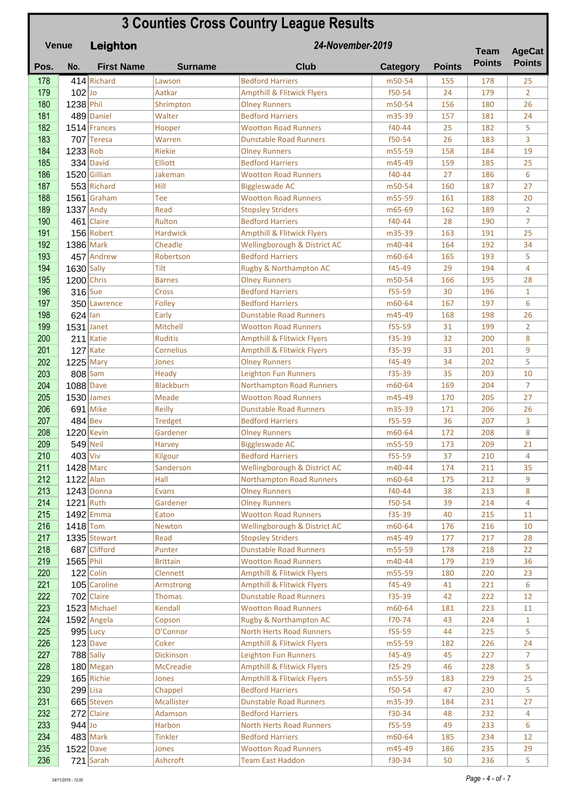| <b>3 Counties Cross Country League Results</b><br>24-November-2019<br><b>Venue</b><br>Leighton |              |                              |                            |                                                          |                  |               | <b>Team</b>   | <b>AgeCat</b>      |
|------------------------------------------------------------------------------------------------|--------------|------------------------------|----------------------------|----------------------------------------------------------|------------------|---------------|---------------|--------------------|
| Pos.                                                                                           | No.          | <b>First Name</b>            | <b>Surname</b>             | <b>Club</b>                                              | <b>Category</b>  | <b>Points</b> | <b>Points</b> | <b>Points</b>      |
| 178                                                                                            |              | 414 Richard                  | Lawson                     | <b>Bedford Harriers</b>                                  | m50-54           | 155           | 178           | 25                 |
| 179                                                                                            | $102$ Jo     |                              | Aatkar                     | <b>Ampthill &amp; Flitwick Flyers</b>                    | f50-54           | 24            | 179           | $\overline{2}$     |
| 180                                                                                            | 1238 Phil    |                              | Shrimpton                  | <b>Olney Runners</b>                                     | m50-54           | 156           | 180           | 26                 |
| 181                                                                                            |              | 489 Daniel                   | Walter                     | <b>Bedford Harriers</b>                                  | m35-39           | 157           | 181           | 24                 |
| 182                                                                                            |              | $1514$ Frances               | Hooper                     | <b>Wootton Road Runners</b>                              | f40-44           | 25            | 182           | 5                  |
| 183                                                                                            |              | 707 Teresa                   | Warren                     | <b>Dunstable Road Runners</b>                            | f50-54           | 26            | 183           | 3                  |
| 184                                                                                            | $1233$ Rob   |                              | <b>Riekie</b>              | <b>Olney Runners</b>                                     | m55-59           | 158           | 184           | 19                 |
| 185                                                                                            |              | $334$ David                  | Elliott                    | <b>Bedford Harriers</b>                                  | m45-49           | 159           | 185           | 25                 |
| 186<br>187                                                                                     |              | 1520 Gillian                 | Jakeman<br>Hill            | <b>Wootton Road Runners</b>                              | f40-44<br>m50-54 | 27<br>160     | 186<br>187    | 6<br>27            |
| 188                                                                                            |              | 553 Richard<br>$1561$ Graham | Tee                        | <b>Biggleswade AC</b><br><b>Wootton Road Runners</b>     | m55-59           | 161           | 188           | 20                 |
| 189                                                                                            | $1337$ Andy  |                              | Read                       | <b>Stopsley Striders</b>                                 | m65-69           | 162           | 189           | $\overline{2}$     |
| 190                                                                                            |              | 461 Claire                   | Rulton                     | <b>Bedford Harriers</b>                                  | f40-44           | 28            | 190           | $\overline{7}$     |
| 191                                                                                            |              | 156 Robert                   | <b>Hardwick</b>            | <b>Ampthill &amp; Flitwick Flyers</b>                    | m35-39           | 163           | 191           | 25                 |
| 192                                                                                            | 1386 Mark    |                              | Cheadle                    | Wellingborough & District AC                             | m40-44           | 164           | 192           | 34                 |
| 193                                                                                            |              | 457 Andrew                   | Robertson                  | <b>Bedford Harriers</b>                                  | m60-64           | 165           | 193           | 5                  |
| 194                                                                                            | $1630$ Sally |                              | Tilt                       | Rugby & Northampton AC                                   | f45-49           | 29            | 194           | 4                  |
| 195                                                                                            | $1200$ Chris |                              | <b>Barnes</b>              | <b>Olney Runners</b>                                     | m50-54           | 166           | 195           | 28                 |
| 196                                                                                            | $316$ Sue    |                              | Cross                      | <b>Bedford Harriers</b>                                  | f55-59           | 30            | 196           | $\mathbf{1}$       |
| 197                                                                                            |              | 350 Lawrence                 | Folley                     | <b>Bedford Harriers</b>                                  | m60-64           | 167           | 197           | 6                  |
| 198                                                                                            | $624$ lan    |                              | Early                      | <b>Dunstable Road Runners</b>                            | m45-49           | 168           | 198           | 26                 |
| 199                                                                                            | $1531$ Janet |                              | Mitchell                   | <b>Wootton Road Runners</b>                              | f55-59           | 31            | 199           | $\overline{2}$     |
| 200                                                                                            |              | 211 Katie                    | <b>Ruditis</b>             | <b>Ampthill &amp; Flitwick Flyers</b>                    | f35-39           | 32            | 200           | 8                  |
| 201                                                                                            |              | $127$ Kate                   | Cornelius                  | <b>Ampthill &amp; Flitwick Flyers</b>                    | f35-39           | 33            | 201           | 9                  |
| 202                                                                                            | $1225$ Mary  |                              | Jones                      | <b>Olney Runners</b>                                     | f45-49           | 34            | 202           | 5                  |
| 203                                                                                            |              | $808$ Sam                    | Heady                      | Leighton Fun Runners                                     | f35-39           | 35            | 203           | 10                 |
| 204                                                                                            | $1088$ Dave  |                              | <b>Blackburn</b>           | <b>Northampton Road Runners</b>                          | m60-64           | 169           | 204           | 7                  |
| 205                                                                                            |              | $1530$ James                 | Meade                      | <b>Wootton Road Runners</b>                              | m45-49           | 170           | 205           | 27                 |
| 206<br>207                                                                                     | $484$ Bev    | 691 Mike                     | <b>Reilly</b>              | <b>Dunstable Road Runners</b><br><b>Bedford Harriers</b> | m35-39<br>f55-59 | 171<br>36     | 206<br>207    | 26                 |
| 208                                                                                            | 1220 Kevin   |                              | <b>Tredget</b><br>Gardener | <b>Olney Runners</b>                                     | m60-64           | 172           | 208           | 3<br>8             |
| 209                                                                                            |              | $549$ Neil                   | <b>Harvey</b>              | <b>Biggleswade AC</b>                                    | m55-59           | 173           | 209           | 21                 |
| 210                                                                                            | $403$ Viv    |                              | Kilgour                    | <b>Bedford Harriers</b>                                  | f55-59           | 37            | 210           | $\overline{4}$     |
| 211                                                                                            | $1428$ Marc  |                              | Sanderson                  | Wellingborough & District AC                             | m40-44           | 174           | 211           | 35                 |
| 212                                                                                            | $1122$ Alan  |                              | Hall                       | Northampton Road Runners                                 | m60-64           | 175           | 212           | 9                  |
| 213                                                                                            |              | $1243$ Donna                 | Evans                      | <b>Olney Runners</b>                                     | f40-44           | 38            | 213           | 8                  |
| 214                                                                                            | 1221 Ruth    |                              | Gardener                   | <b>Olney Runners</b>                                     | f50-54           | 39            | 214           | 4                  |
| 215                                                                                            |              | 1492 Emma                    | Eaton                      | <b>Wootton Road Runners</b>                              | f35-39           | 40            | 215           | 11                 |
| 216                                                                                            | $1418$ Tom   |                              | Newton                     | Wellingborough & District AC                             | m60-64           | 176           | 216           | 10                 |
| 217                                                                                            |              | 1335 Stewart                 | Read                       | <b>Stopsley Striders</b>                                 | m45-49           | 177           | 217           | 28                 |
| 218                                                                                            |              | 687 Clifford                 | Punter                     | <b>Dunstable Road Runners</b>                            | m55-59           | 178           | 218           | 22                 |
| 219                                                                                            | 1565 Phil    |                              | <b>Brittain</b>            | <b>Wootton Road Runners</b>                              | m40-44           | 179           | 219           | 36                 |
| 220                                                                                            |              | $122$ Colin                  | Clennett                   | <b>Ampthill &amp; Flitwick Flyers</b>                    | m55-59           | 180           | 220           | 23                 |
| 221                                                                                            |              | 105 Caroline                 | Armstrong                  | <b>Ampthill &amp; Flitwick Flyers</b>                    | f45-49           | 41            | 221           | 6                  |
| 222<br>223                                                                                     |              | $702$ Claire<br>1523 Michael | <b>Thomas</b><br>Kendall   | <b>Dunstable Road Runners</b>                            | f35-39           | 42            | 222           | 12                 |
| 224                                                                                            |              | $1592$ Angela                | Copson                     | <b>Wootton Road Runners</b><br>Rugby & Northampton AC    | m60-64<br>f70-74 | 181<br>43     | 223<br>224    | 11<br>$\mathbf{1}$ |
| 225                                                                                            |              | $995$ Lucy                   | O'Connor                   | North Herts Road Runners                                 | f55-59           | 44            | 225           | 5                  |
| 226                                                                                            |              | $123$ Dave                   | Coker                      | <b>Ampthill &amp; Flitwick Flyers</b>                    | m55-59           | 182           | 226           | 24                 |
| 227                                                                                            |              | $788$ Sally                  | <b>Dickinson</b>           | Leighton Fun Runners                                     | f45-49           | 45            | 227           | $\overline{7}$     |
| 228                                                                                            |              | $180$ Megan                  | <b>McCreadie</b>           | <b>Ampthill &amp; Flitwick Flyers</b>                    | $f25-29$         | 46            | 228           | 5                  |
| 229                                                                                            |              | $165$ Richie                 | Jones                      | <b>Ampthill &amp; Flitwick Flyers</b>                    | m55-59           | 183           | 229           | 25                 |
| 230                                                                                            | $299$ Lisa   |                              | Chappel                    | <b>Bedford Harriers</b>                                  | f50-54           | 47            | 230           | 5                  |
| 231                                                                                            |              | 665 Steven                   | <b>Mcallister</b>          | <b>Dunstable Road Runners</b>                            | m35-39           | 184           | 231           | 27                 |
| 232                                                                                            |              | 272 Claire                   | Adamson                    | <b>Bedford Harriers</b>                                  | f30-34           | 48            | 232           | 4                  |
| 233                                                                                            | $944$ Jo     |                              | Harbon                     | North Herts Road Runners                                 | f55-59           | 49            | 233           | 6                  |
| 234                                                                                            |              | $483$ Mark                   | <b>Tinkler</b>             | <b>Bedford Harriers</b>                                  | m60-64           | 185           | 234           | 12                 |
| 235                                                                                            | $1522$ Dave  |                              | Jones                      | <b>Wootton Road Runners</b>                              | m45-49           | 186           | 235           | 29                 |
| 236                                                                                            |              | $721$ Sarah                  | Ashcroft                   | <b>Team East Haddon</b>                                  | f30-34           | 50            | 236           | 5                  |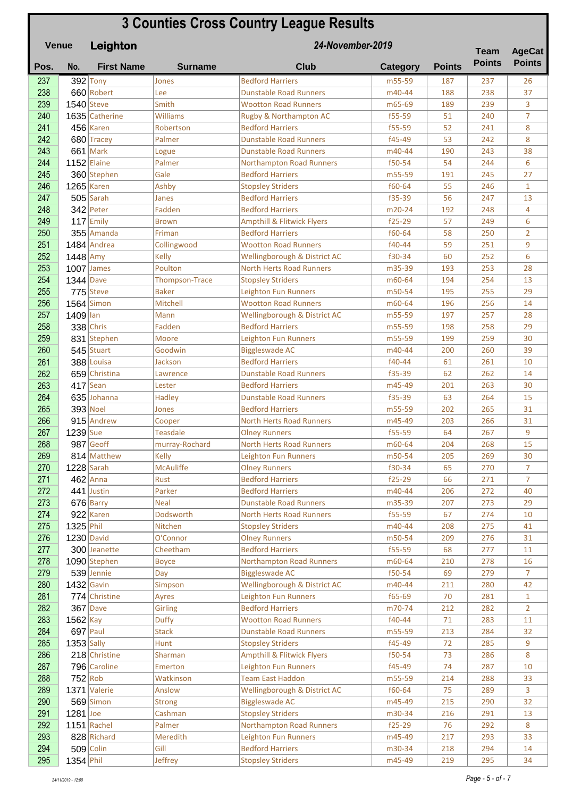## **Pos. No. First Name Surname Club Category Points Leighton 3 Counties Cross Country League Results Venue Team Points 24-November-2019 Team AgeCat Points 237** 392 Tony Jones Bedford Harriers 1875-59 187 237 26 238 660 Robert Lee Dunstable Road Runners – m40-44 188 238 37 239 1540 Steve Smith Wootton Road Runners 1665-69 189 239 3 240 1635 Catherine Williams Rugby & Northampton AC f55-59 51 240 7 **241 456** Karen Robertson Bedford Harriers **f**55-59 52 241 8 242 680 Tracey Palmer Dunstable Road Runners f45-49 53 242 8 243 661 Mark Logue Dunstable Road Runners – m40-44 190 243 38 244 1152 Elaine Palmer Northampton Road Runners f50-54 54 244 6 245 360 Stephen Gale Bedford Harriers m55-59 191 245 27 246 1265 Karen Ashby Stopsley Striders f60-64 55 246 1 **247 505** Sarah Janes Bedford Harriers 155-39 56 247 13 248 342 Peter Fadden Bedford Harriers m20-24 192 248 4 249 117 Emily Brown Ampthill & Flitwick Flyers | 125-29 | 57 | 249 | 6 250 355 Amanda Friman Bedford Harriers 160-64 58 250 2 251 1484 Andrea Collingwood Wootton Road Runners 140-44 59 251 9  $252$  1448 Amy Kelly Wellingborough & District AC f30-34 60 252 6 253 1007 James Poulton North Herts Road Runners 1 m35-39 193 253 28 254 1344 Dave Thompson-Trace Stopsley Striders m60-64 194 254 13 255 775 Steve Baker Leighton Fun Runners 195 m50-54 195 255 29 256 1564 Simon Mitchell Wootton Road Runners 1966-64 196 256 14 257 1409 Ian Mann Wellingborough & District AC m55-59 197 257 28 258 338 Chris Fadden Bedford Harriers 1985-59 198 258 29 259 831 Stephen Moore Leighton Fun Runners 1955-59 199 259 30 **260 545** Stuart Goodwin Biggleswade AC 1990 140-44 200 260 39 261 388 Louisa Jackson Bedford Harriers f40-44 61 261 10 262 659 Christina Lawrence Dunstable Road Runners 155-39 62 262 14  $263$  417 Sean Lester Bedford Harriers 1998 1995 1996 201 263 30 264 635 Johanna Hadley Dunstable Road Runners | f35-39 | 63 | 264 | 15 265 393 Noel Jones Bedford Harriers 1993 1202 265 31 266 915 Andrew Cooper North Herts Road Runners 1945-49 203 266 31  $267$  1239 Sue Teasdale Olney Runners 1995-59 64 267 9

268 987 Geoff murray-Rochard North Herts Road Runners 1660-64 204 268 15 269 814 Matthew Kelly Leighton Fun Runners m50-54 205 269 30 270 1228 Sarah McAuliffe Olney Runners 130-34 65 270 7

**294 509 Colin Gill Bedford Harriers 1994 1218 294 14** 295 1354 Phil Jeffrey Stopsley Striders m45-49 219 295 34

| 271 |              | $462$ Anna        | Rust             | <b>Bedford Harriers</b>               | $f25-29$ | 66  | 271 | 7              |
|-----|--------------|-------------------|------------------|---------------------------------------|----------|-----|-----|----------------|
| 272 |              | 441 Justin        | Parker           | <b>Bedford Harriers</b>               | m40-44   | 206 | 272 | 40             |
| 273 |              | $676$ Barry       | <b>Neal</b>      | <b>Dunstable Road Runners</b>         | m35-39   | 207 | 273 | 2 <sub>5</sub> |
| 274 |              | 922 Karen         | <b>Dodsworth</b> | <b>North Herts Road Runners</b>       | f55-59   | 67  | 274 | 10             |
| 275 | $1325$ Phil  |                   | Nitchen          | <b>Stopsley Striders</b>              | m40-44   | 208 | 275 | 41             |
| 276 |              | <b>1230 David</b> | O'Connor         | <b>Olney Runners</b>                  | m50-54   | 209 | 276 | 31             |
| 277 |              | 300 Jeanette      | Cheetham         | <b>Bedford Harriers</b>               | f55-59   | 68  | 277 | 11             |
| 278 |              | 1090 Stephen      | <b>Boyce</b>     | Northampton Road Runners              | m60-64   | 210 | 278 | 16             |
| 279 |              | 539 Jennie        | Dav              | <b>Biggleswade AC</b>                 | f50-54   | 69  | 279 | 7              |
| 280 |              | $1432$ Gavin      | Simpson          | Wellingborough & District AC          | m40-44   | 211 | 280 | 42             |
| 281 |              | 774 Christine     | Ayres            | Leighton Fun Runners                  | f65-69   | 70  | 281 | $\mathbf{1}$   |
| 282 |              | 367 Dave          | <b>Girling</b>   | <b>Bedford Harriers</b>               | m70-74   | 212 | 282 | $\overline{2}$ |
| 283 | $1562$ Kay   |                   | <b>Duffy</b>     | <b>Wootton Road Runners</b>           | f40-44   | 71  | 283 | 11             |
| 284 |              | $697$ Paul        | <b>Stack</b>     | <b>Dunstable Road Runners</b>         | m55-59   | 213 | 284 | 32             |
| 285 | $1353$ Sally |                   | <b>Hunt</b>      | <b>Stopsley Striders</b>              | $f45-49$ | 72  | 285 | 9              |
| 286 |              | 218 Christine     | Sharman          | <b>Ampthill &amp; Flitwick Flyers</b> | f50-54   | 73  | 286 | 8              |
| 287 |              | 796 Caroline      | Emerton          | Leighton Fun Runners                  | f45-49   | 74  | 287 | 10             |
| 288 | $752$ Rob    |                   | Watkinson        | <b>Team East Haddon</b>               | m55-59   | 214 | 288 | 33             |
| 289 |              | 1371 Valerie      | Anslow           | Wellingborough & District AC          | f60-64   | 75  | 289 | 3              |
| 290 |              | 569 Simon         | <b>Strong</b>    | <b>Biggleswade AC</b>                 | m45-49   | 215 | 290 | 32             |
| 291 | $1281$ Joe   |                   | Cashman          | <b>Stopsley Striders</b>              | m30-34   | 216 | 291 | 13             |
| 292 |              | $1151$ Rachel     | Palmer           | Northampton Road Runners              | $f25-29$ | 76  | 292 | 8              |
| 293 |              | 828 Richard       | Meredith         | Leighton Fun Runners                  | m45-49   | 217 | 293 | 33             |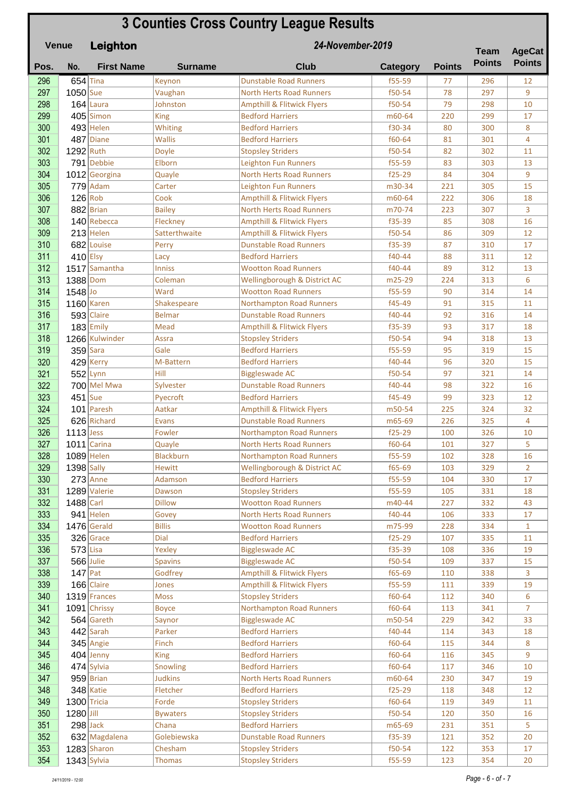|            | <b>3 Counties Cross Country League Results</b><br>24-November-2019<br>Venue<br>Leighton |                             |                        |                                                                    |                    |               | <b>Team</b>   | <b>AgeCat</b>  |
|------------|-----------------------------------------------------------------------------------------|-----------------------------|------------------------|--------------------------------------------------------------------|--------------------|---------------|---------------|----------------|
| Pos.       | No.                                                                                     | <b>First Name</b>           | <b>Surname</b>         | <b>Club</b>                                                        | <b>Category</b>    | <b>Points</b> | <b>Points</b> | <b>Points</b>  |
| 296        | $654$ Tina                                                                              |                             | Keynon                 | <b>Dunstable Road Runners</b>                                      | f55-59             | 77            | 296           | 12             |
| 297        | 1050 Sue                                                                                |                             | Vaughan                | <b>North Herts Road Runners</b>                                    | f50-54             | 78            | 297           | 9              |
| 298        |                                                                                         | $164$ Laura                 | Johnston               | <b>Ampthill &amp; Flitwick Flyers</b>                              | f50-54             | 79            | 298           | 10             |
| 299        |                                                                                         | $405$ Simon                 | <b>King</b>            | <b>Bedford Harriers</b>                                            | m60-64             | 220           | 299           | 17             |
| 300        |                                                                                         | $493$ Helen                 | Whiting                | <b>Bedford Harriers</b>                                            | f30-34             | 80            | 300           | 8              |
| 301        |                                                                                         | 487 Diane                   | <b>Wallis</b>          | <b>Bedford Harriers</b>                                            | f60-64             | 81            | 301           | 4              |
| 302        | 1292 Ruth                                                                               |                             | Doyle                  | <b>Stopsley Striders</b>                                           | f50-54             | 82            | 302           | 11             |
| 303        |                                                                                         | 791 Debbie                  | Elborn                 | <b>Leighton Fun Runners</b><br><b>North Herts Road Runners</b>     | f55-59<br>$f25-29$ | 83<br>84      | 303<br>304    | 13<br>9        |
| 304<br>305 |                                                                                         | 1012 Georgina<br>$779$ Adam | Quayle<br>Carter       | <b>Leighton Fun Runners</b>                                        | m30-34             | 221           | 305           | 15             |
| 306        | $126$ Rob                                                                               |                             | Cook                   | <b>Ampthill &amp; Flitwick Flyers</b>                              | m60-64             | 222           | 306           | 18             |
| 307        |                                                                                         | $882$ Brian                 | <b>Bailey</b>          | <b>North Herts Road Runners</b>                                    | m70-74             | 223           | 307           | 3              |
| 308        |                                                                                         | 140 Rebecca                 | Fleckney               | <b>Ampthill &amp; Flitwick Flyers</b>                              | f35-39             | 85            | 308           | 16             |
| 309        |                                                                                         | $213$ Helen                 | Satterthwaite          | <b>Ampthill &amp; Flitwick Flyers</b>                              | f50-54             | 86            | 309           | 12             |
| 310        |                                                                                         | 682 Louise                  | Perry                  | <b>Dunstable Road Runners</b>                                      | f35-39             | 87            | 310           | 17             |
| 311        | $410$ Elsy                                                                              |                             | Lacy                   | <b>Bedford Harriers</b>                                            | f40-44             | 88            | 311           | 12             |
| 312        |                                                                                         | 1517 Samantha               | <b>Inniss</b>          | <b>Wootton Road Runners</b>                                        | f40-44             | 89            | 312           | 13             |
| 313        | 1388 Dom                                                                                |                             | Coleman                | Wellingborough & District AC                                       | m25-29             | 224           | 313           | 6              |
| 314        | 1548 Jo                                                                                 |                             | Ward                   | <b>Wootton Road Runners</b>                                        | f55-59             | 90            | 314           | 14             |
| 315        |                                                                                         | $1160$ Karen                | Shakespeare            | <b>Northampton Road Runners</b>                                    | f45-49             | 91            | 315           | 11             |
| 316        |                                                                                         | 593 Claire                  | <b>Belmar</b>          | <b>Dunstable Road Runners</b>                                      | f40-44             | 92            | 316           | 14             |
| 317        |                                                                                         | $183$ Emily                 | Mead                   | <b>Ampthill &amp; Flitwick Flyers</b>                              | f35-39             | 93            | 317           | 18             |
| 318        |                                                                                         | 1266 Kulwinder              | Assra                  | <b>Stopsley Striders</b>                                           | f50-54             | 94            | 318           | 13             |
| 319        |                                                                                         | $359$ Sara                  | Gale                   | <b>Bedford Harriers</b>                                            | f55-59             | 95            | 319           | 15             |
| 320        |                                                                                         | $429$ Kerry                 | M-Battern              | <b>Bedford Harriers</b>                                            | f40-44             | 96            | 320           | 15             |
| 321        |                                                                                         | $552$ Lynn                  | Hill                   | <b>Biggleswade AC</b>                                              | f50-54             | 97            | 321           | 14             |
| 322        |                                                                                         | 700 Mel Mwa                 | Sylvester              | <b>Dunstable Road Runners</b>                                      | f40-44             | 98            | 322           | 16             |
| 323        | $451$ Sue                                                                               |                             | Pyecroft               | <b>Bedford Harriers</b>                                            | f45-49             | 99            | 323           | 12             |
| 324        |                                                                                         | 101 Paresh                  | Aatkar                 | <b>Ampthill &amp; Flitwick Flyers</b>                              | m50-54             | 225           | 324           | 32             |
| 325<br>326 | $1113$ Jess                                                                             | 626 Richard                 | <b>Evans</b><br>Fowler | <b>Dunstable Road Runners</b>                                      | m65-69<br>$f25-29$ | 226           | 325<br>326    | 4<br>10        |
|            |                                                                                         | $1011$ Carina               | Quayle                 | <b>Northampton Road Runners</b><br><b>North Herts Road Runners</b> | f60-64             | 100<br>101    | 327           | 5              |
| 327<br>328 |                                                                                         | $1089$ Helen                | <b>Blackburn</b>       | <b>Northampton Road Runners</b>                                    | f55-59             | 102           | 328           | 16             |
| 329        | $1398$ Sally                                                                            |                             | <b>Hewitt</b>          | Wellingborough & District AC                                       | f65-69             | 103           | 329           | $\overline{2}$ |
| 330        |                                                                                         | $273$ Anne                  | Adamson                | <b>Bedford Harriers</b>                                            | f55-59             | 104           | 330           | 17             |
| 331        |                                                                                         | 1289 Valerie                | Dawson                 | <b>Stopsley Striders</b>                                           | f55-59             | 105           | 331           | 18             |
| 332        | $1488$ Carl                                                                             |                             | <b>Dillow</b>          | <b>Wootton Road Runners</b>                                        | m40-44             | 227           | 332           | 43             |
| 333        |                                                                                         | $941$ Helen                 | Govey                  | <b>North Herts Road Runners</b>                                    | f40-44             | 106           | 333           | 17             |
| 334        |                                                                                         | $1476$ Gerald               | <b>Billis</b>          | <b>Wootton Road Runners</b>                                        | m75-99             | 228           | 334           | $\mathbf{1}$   |
| 335        |                                                                                         | $326$ Grace                 | Dial                   | <b>Bedford Harriers</b>                                            | $f25-29$           | 107           | 335           | 11             |
| 336        | $573$ Lisa                                                                              |                             | Yexley                 | <b>Biggleswade AC</b>                                              | $f35-39$           | 108           | 336           | 19             |
| 337        |                                                                                         | $566$ Julie                 | <b>Spavins</b>         | <b>Biggleswade AC</b>                                              | f50-54             | 109           | 337           | 15             |
| 338        | $147$ Pat                                                                               |                             | Godfrey                | <b>Ampthill &amp; Flitwick Flyers</b>                              | f65-69             | 110           | 338           | 3              |
| 339        |                                                                                         | 166 Claire                  | Jones                  | <b>Ampthill &amp; Flitwick Flyers</b>                              | f55-59             | 111           | 339           | 19             |
| 340        |                                                                                         | $1319$ Frances              | <b>Moss</b>            | <b>Stopsley Striders</b>                                           | f60-64             | 112           | 340           | 6              |
| 341        |                                                                                         | 1091 Chrissy                | <b>Boyce</b>           | <b>Northampton Road Runners</b>                                    | f60-64             | 113           | 341           | $\overline{7}$ |
| 342        |                                                                                         | $564$ Gareth                | Saynor                 | <b>Biggleswade AC</b>                                              | m50-54             | 229           | 342           | 33             |
| 343        |                                                                                         | $442$ Sarah                 | Parker                 | <b>Bedford Harriers</b>                                            | f40-44             | 114           | 343           | 18             |
| 344<br>345 |                                                                                         | $345$ Angie<br>$404$ Jenny  | Finch<br><b>King</b>   | <b>Bedford Harriers</b><br><b>Bedford Harriers</b>                 | f60-64<br>f60-64   | 115<br>116    | 344<br>345    | 8<br>9         |
| 346        |                                                                                         | 474 Sylvia                  | Snowling               | <b>Bedford Harriers</b>                                            | f60-64             | 117           | 346           | 10             |
| 347        |                                                                                         | $959$ Brian                 | <b>Judkins</b>         | North Herts Road Runners                                           | m60-64             | 230           | 347           | 19             |
| 348        |                                                                                         | $348$ Katie                 | Fletcher               | <b>Bedford Harriers</b>                                            | $f25-29$           | 118           | 348           | 12             |
| 349        | $1300$ Tricia                                                                           |                             | Forde                  | <b>Stopsley Striders</b>                                           | f60-64             | 119           | 349           | 11             |
| 350        | $1280$ Jill                                                                             |                             | <b>Bywaters</b>        | <b>Stopsley Striders</b>                                           | f50-54             | 120           | 350           | 16             |
| 351        |                                                                                         | $298$ Jack                  | Chana                  | <b>Bedford Harriers</b>                                            | m65-69             | 231           | 351           | 5              |
| 352        |                                                                                         | 632 Magdalena               | Golebiewska            | <b>Dunstable Road Runners</b>                                      | f35-39             | 121           | 352           | 20             |
| 353        |                                                                                         | 1283 Sharon                 | Chesham                | <b>Stopsley Striders</b>                                           | f50-54             | 122           | 353           | 17             |
| 354        |                                                                                         | $1343$ Sylvia               | <b>Thomas</b>          | <b>Stopsley Striders</b>                                           | f55-59             | 123           | 354           | 20             |